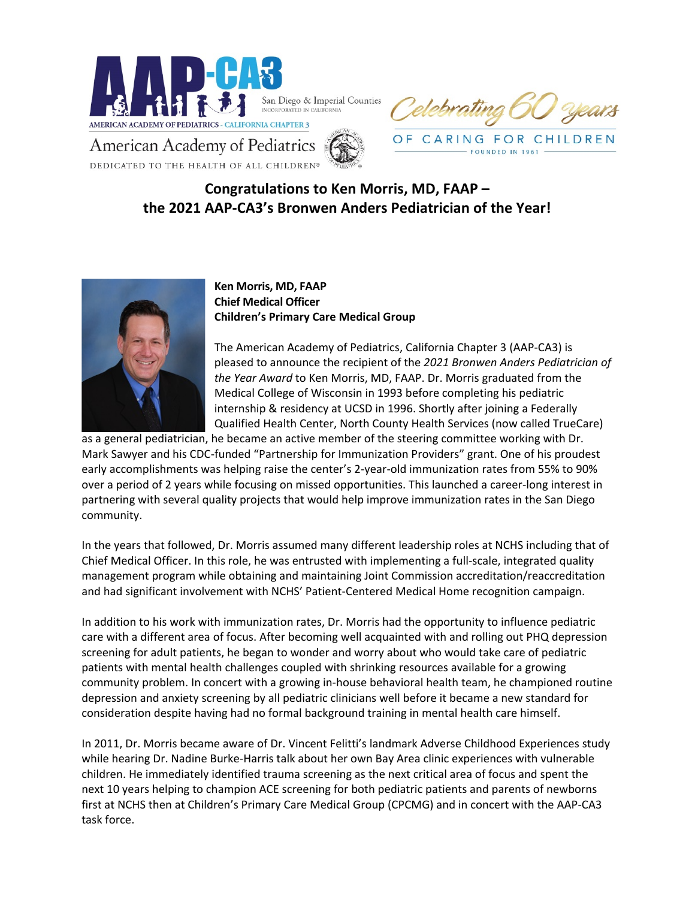

CARING FOR CHILDREN

**EQUNDED IN 1961** 

American Academy of Pediatrics DEDICATED TO THE HEALTH OF ALL CHILDREN®

## **Congratulations to Ken Morris, MD, FAAP – the 2021 AAP-CA3's Bronwen Anders Pediatrician of the Year!**



**Ken Morris, MD, FAAP Chief Medical Officer Children's Primary Care Medical Group**

The American Academy of Pediatrics, California Chapter 3 (AAP-CA3) is pleased to announce the recipient of the *2021 Bronwen Anders Pediatrician of the Year Award* to Ken Morris, MD, FAAP. Dr. Morris graduated from the Medical College of Wisconsin in 1993 before completing his pediatric internship & residency at UCSD in 1996. Shortly after joining a Federally Qualified Health Center, North County Health Services (now called TrueCare)

as a general pediatrician, he became an active member of the steering committee working with Dr. Mark Sawyer and his CDC-funded "Partnership for Immunization Providers" grant. One of his proudest early accomplishments was helping raise the center's 2-year-old immunization rates from 55% to 90% over a period of 2 years while focusing on missed opportunities. This launched a career-long interest in partnering with several quality projects that would help improve immunization rates in the San Diego community.

In the years that followed, Dr. Morris assumed many different leadership roles at NCHS including that of Chief Medical Officer. In this role, he was entrusted with implementing a full-scale, integrated quality management program while obtaining and maintaining Joint Commission accreditation/reaccreditation and had significant involvement with NCHS' Patient-Centered Medical Home recognition campaign.

In addition to his work with immunization rates, Dr. Morris had the opportunity to influence pediatric care with a different area of focus. After becoming well acquainted with and rolling out PHQ depression screening for adult patients, he began to wonder and worry about who would take care of pediatric patients with mental health challenges coupled with shrinking resources available for a growing community problem. In concert with a growing in-house behavioral health team, he championed routine depression and anxiety screening by all pediatric clinicians well before it became a new standard for consideration despite having had no formal background training in mental health care himself.

In 2011, Dr. Morris became aware of Dr. Vincent Felitti's landmark Adverse Childhood Experiences study while hearing Dr. Nadine Burke-Harris talk about her own Bay Area clinic experiences with vulnerable children. He immediately identified trauma screening as the next critical area of focus and spent the next 10 years helping to champion ACE screening for both pediatric patients and parents of newborns first at NCHS then at Children's Primary Care Medical Group (CPCMG) and in concert with the AAP-CA3 task force.